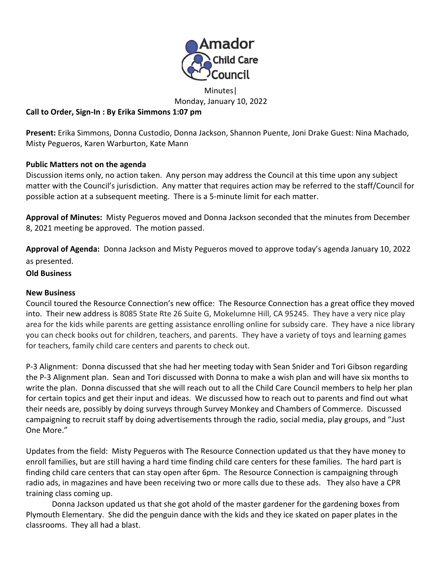

Minutes| Monday, January 10, 2022

## **Call to Order, Sign-In : By Erika Simmons 1:07 pm**

**Present:** Erika Simmons, Donna Custodio, Donna Jackson, Shannon Puente, Joni Drake Guest: Nina Machado, Misty Pegueros, Karen Warburton, Kate Mann

## **Public Matters not on the agenda**

Discussion items only, no action taken. Any person may address the Council at this time upon any subject matter with the Council's jurisdiction. Any matter that requires action may be referred to the staff/Council for possible action at a subsequent meeting. There is a 5-minute limit for each matter.

**Approval of Minutes:** Misty Pegueros moved and Donna Jackson seconded that the minutes from December 8, 2021 meeting be approved. The motion passed.

**Approval of Agenda:** Donna Jackson and Misty Pegueros moved to approve today's agenda January 10, 2022 as presented.

## **Old Business**

## **New Business**

Council toured the Resource Connection's new office: The Resource Connection has a great office they moved into. Their new address is 8085 State Rte 26 Suite G, Mokelumne Hill, CA 95245. They have a very nice play area for the kids while parents are getting assistance enrolling online for subsidy care. They have a nice library you can check books out for children, teachers, and parents. They have a variety of toys and learning games for teachers, family child care centers and parents to check out.

 P-3 Alignment: Donna discussed that she had her meeting today with Sean Snider and Tori Gibson regarding the P-3 Alignment plan. Sean and Tori discussed with Donna to make a wish plan and will have six months to write the plan. Donna discussed that she will reach out to all the Child Care Council members to help her plan for certain topics and get their input and ideas. We discussed how to reach out to parents and find out what their needs are, possibly by doing surveys through Survey Monkey and Chambers of Commerce. Discussed campaigning to recruit staff by doing advertisements through the radio, social media, play groups, and "Just One More."

 Updates from the field: Misty Pegueros with The Resource Connection updated us that they have money to enroll families, but are still having a hard time finding child care centers for these families. The hard part is finding child care centers that can stay open after 6pm. The Resource Connection is campaigning through radio ads, in magazines and have been receiving two or more calls due to these ads. They also have a CPR training class coming up.

Donna Jackson updated us that she got ahold of the master gardener for the gardening boxes from Plymouth Elementary. She did the penguin dance with the kids and they ice skated on paper plates in the classrooms. They all had a blast.